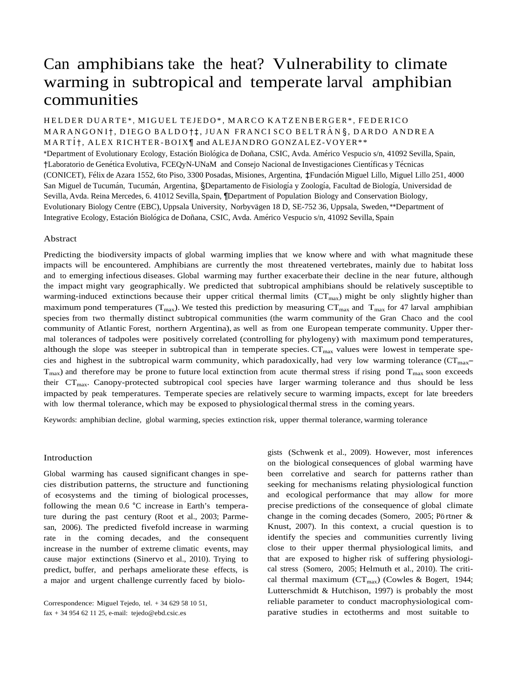# Can amphibians take the heat? Vulnerability to climate warming in subtropical and temperate larval amphibian communities

# HELDER DUARTE\*, MIGUEL TEJEDO\*, MARCO KATZENBERGER\*, FEDERICO MARANGONI†, DIEGO BALDO†‡, JUAN FRANCI SCO BELTRÁN§, DARDO ANDREA MART͆, ALEX RICHTER-BOIX¶ and ALEJANDRO GONZALEZ-VOYER\*\*

\*Department of Evolutionary Ecology, Estacio´n Biolo´gica de Don˜ ana, CSIC, Avda. Ame´rico Vespucio s/n, 41092 Sevilla, Spain, †Laboratorio de Genética Evolutiva, FCEQyN-UNaM and Consejo Nacional de Investigaciones Científicas y Técnicas (CONICET), Félix de Azara 1552, 6to Piso, 3300 Posadas, Misiones, Argentina, ‡Fundación Miguel Lillo, Miguel Lillo 251, 4000 San Miguel de Tucumán, Tucumán, Argentina, §Departamento de Fisiología y Zoología, Facultad de Biología, Universidad de Sevilla, Avda. Reina Mercedes, 6. 41012 Sevilla, Spain, ¶Department of Population Biology and Conservation Biology, Evolutionary Biology Centre (EBC), Uppsala University, Norbyvägen 18 D, SE-752 36, Uppsala, Sweden, \*\*Department of Integrative Ecology, Estación Biológica de Doñana, CSIC, Avda. Américo Vespucio s/n, 41092 Sevilla, Spain

#### Abstract

Predicting the biodiversity impacts of global warming implies that we know where and with what magnitude these impacts will be encountered. Amphibians are currently the most threatened vertebrates, mainly due to habitat loss and to emerging infectious diseases. Global warming may further exacerbate their decline in the near future, although the impact might vary geographically. We predicted that subtropical amphibians should be relatively susceptible to warming-induced extinctions because their upper critical thermal limits  $(CT_{max})$  might be only slightly higher than maximum pond temperatures ( $T_{max}$ ). We tested this prediction by measuring  $CT_{max}$  and  $T_{max}$  for 47 larval amphibian species from two thermally distinct subtropical communities (the warm community of the Gran Chaco and the cool community of Atlantic Forest, northern Argentina), as well as from one European temperate community. Upper thermal tolerances of tadpoles were positively correlated (controlling for phylogeny) with maximum pond temperatures, although the slope was steeper in subtropical than in temperate species.  $CT_{\text{max}}$  values were lowest in temperate species and highest in the subtropical warm community, which paradoxically, had very low warming tolerance ( $CT_{max}$ –  $T_{\text{max}}$ ) and therefore may be prone to future local extinction from acute thermal stress if rising pond  $T_{\text{max}}$  soon exceeds their CTmax. Canopy-protected subtropical cool species have larger warming tolerance and thus should be less impacted by peak temperatures. Temperate species are relatively secure to warming impacts, except for late breeders with low thermal tolerance, which may be exposed to physiological thermal stress in the coming years.

Keywords: amphibian decline, global warming, species extinction risk, upper thermal tolerance, warming tolerance

## Introduction

Global warming has caused significant changes in species distribution patterns, the structure and functioning of ecosystems and the timing of biological processes, following the mean 0.6 °C increase in Earth's temperature during the past century (Root et al., 2003; Parmesan, 2006). The predicted fivefold increase in warming rate in the coming decades, and the consequent increase in the number of extreme climatic events, may cause major extinctions (Sinervo et al., 2010). Trying to predict, buffer, and perhaps ameliorate these effects, is a major and urgent challenge currently faced by biolo-

Correspondence: Miguel Tejedo, tel. + 34 629 58 10 51, fax + 34 954 62 11 25, e-mail: [tejedo@ebd.csic.es](mailto:tejedo@ebd.csic.es)

gists (Schwenk et al., 2009). However, most inferences on the biological consequences of global warming have been correlative and search for patterns rather than seeking for mechanisms relating physiological function and ecological performance that may allow for more precise predictions of the consequence of global climate change in the coming decades (Somero, 2005; Pörtner  $\&$ Knust, 2007). In this context, a crucial question is to identify the species and communities currently living close to their upper thermal physiological limits, and that are exposed to higher risk of suffering physiological stress (Somero, 2005; Helmuth et al., 2010). The critical thermal maximum ( $CT_{max}$ ) (Cowles & Bogert, 1944; Lutterschmidt & Hutchison, 1997) is probably the most reliable parameter to conduct macrophysiological comparative studies in ectotherms and most suitable to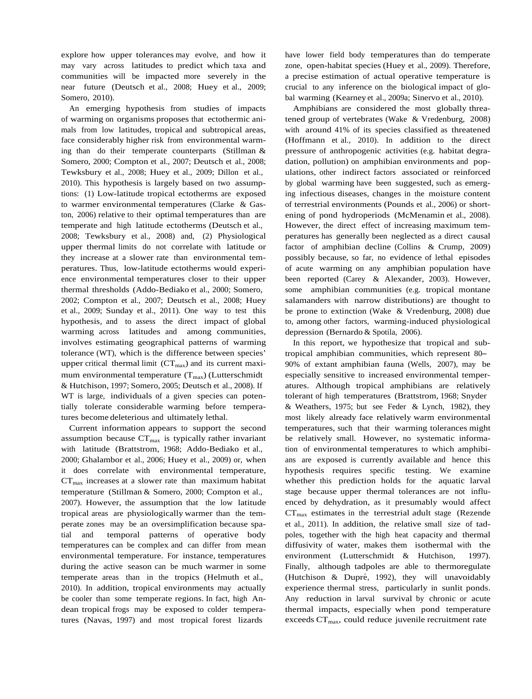explore how upper tolerances may evolve, and how it may vary across latitudes to predict which taxa and communities will be impacted more severely in the near future (Deutsch et al., 2008; Huey et al., 2009; Somero, 2010).

An emerging hypothesis from studies of impacts of warming on organisms proposes that ectothermic animals from low latitudes, tropical and subtropical areas, face considerably higher risk from environmental warming than do their temperate counterparts (Stillman & Somero, 2000; Compton et al., 2007; Deutsch et al., 2008; Tewksbury et al., 2008; Huey et al., 2009; Dillon et al., 2010). This hypothesis is largely based on two assumptions: (1) Low-latitude tropical ectotherms are exposed to warmer environmental temperatures (Clarke & Gaston, 2006) relative to their optimal temperatures than are temperate and high latitude ectotherms (Deutsch et al., 2008; Tewksbury et al., 2008) and, (2) Physiological upper thermal limits do not correlate with latitude or they increase at a slower rate than environmental temperatures. Thus, low-latitude ectotherms would experience environmental temperatures closer to their upper thermal thresholds (Addo-Bediako et al., 2000; Somero, 2002; Compton et al., 2007; Deutsch et al., 2008; Huey et al., 2009; Sunday et al., 2011). One way to test this hypothesis, and to assess the direct impact of global warming across latitudes and among communities, involves estimating geographical patterns of warming tolerance (WT), which is the difference between species' upper critical thermal limit  $(CT_{max})$  and its current maximum environmental temperature  $(T_{\text{max}})$  (Lutterschmidt) & Hutchison, 1997; Somero, 2005; Deutsch et al., 2008). If WT is large, individuals of a given species can potentially tolerate considerable warming before temperatures become deleterious and ultimately lethal.

Current information appears to support the second assumption because  $CT_{max}$  is typically rather invariant with latitude (Brattstrom, 1968; Addo-Bediako et al., 2000; Ghalambor et al., 2006; Huey et al., 2009) or, when it does correlate with environmental temperature,  $CT_{\text{max}}$  increases at a slower rate than maximum habitat temperature (Stillman & Somero, 2000; Compton et al., 2007). However, the assumption that the low latitude tropical areas are physiologically warmer than the temperate zones may be an oversimplification because spatial and temporal patterns of operative body temperatures can be complex and can differ from mean environmental temperature. For instance, temperatures during the active season can be much warmer in some temperate areas than in the tropics (Helmuth et al., 2010). In addition, tropical environments may actually be cooler than some temperate regions. In fact, high Andean tropical frogs may be exposed to colder temperatures (Navas, 1997) and most tropical forest lizards

have lower field body temperatures than do temperate zone, open-habitat species (Huey et al., 2009). Therefore, a precise estimation of actual operative temperature is crucial to any inference on the biological impact of global warming (Kearney et al., 2009a; Sinervo et al., 2010).

Amphibians are considered the most globally threatened group of vertebrates (Wake & Vredenburg, 2008) with around 41% of its species classified as threatened (Hoffmann et al., 2010). In addition to the direct pressure of anthropogenic activities (e.g. habitat degradation, pollution) on amphibian environments and populations, other indirect factors associated or reinforced by global warming have been suggested, such as emerging infectious diseases, changes in the moisture content of terrestrial environments (Pounds et al., 2006) or shortening of pond hydroperiods (McMenamin et al., 2008). However, the direct effect of increasing maximum temperatures has generally been neglected as a direct causal factor of amphibian decline (Collins & Crump, 2009) possibly because, so far, no evidence of lethal episodes of acute warming on any amphibian population have been reported (Carey & Alexander, 2003). However, some amphibian communities (e.g. tropical montane salamanders with narrow distributions) are thought to be prone to extinction (Wake & Vredenburg, 2008) due to, among other factors, warming-induced physiological depression (Bernardo & Spotila, 2006).

In this report, we hypothesize that tropical and subtropical amphibian communities, which represent 80– 90% of extant amphibian fauna (Wells, 2007), may be especially sensitive to increased environmental temperatures. Although tropical amphibians are relatively tolerant of high temperatures (Brattstrom, 1968; Snyder & Weathers, 1975; but see Feder & Lynch, 1982), they most likely already face relatively warm environmental temperatures, such that their warming tolerances might be relatively small. However, no systematic information of environmental temperatures to which amphibians are exposed is currently available and hence this hypothesis requires specific testing. We examine whether this prediction holds for the aquatic larval stage because upper thermal tolerances are not influenced by dehydration, as it presumably would affect  $CT_{\text{max}}$  estimates in the terrestrial adult stage (Rezende et al., 2011). In addition, the relative small size of tadpoles, together with the high heat capacity and thermal diffusivity of water, makes them isothermal with the environment (Lutterschmidt & Hutchison, 1997). Finally, although tadpoles are able to thermoregulate (Hutchison & Dupré, 1992), they will unavoidably experience thermal stress, particularly in sunlit ponds. Any reduction in larval survival by chronic or acute thermal impacts, especially when pond temperature exceeds  $CT_{\text{max}}$ , could reduce juvenile recruitment rate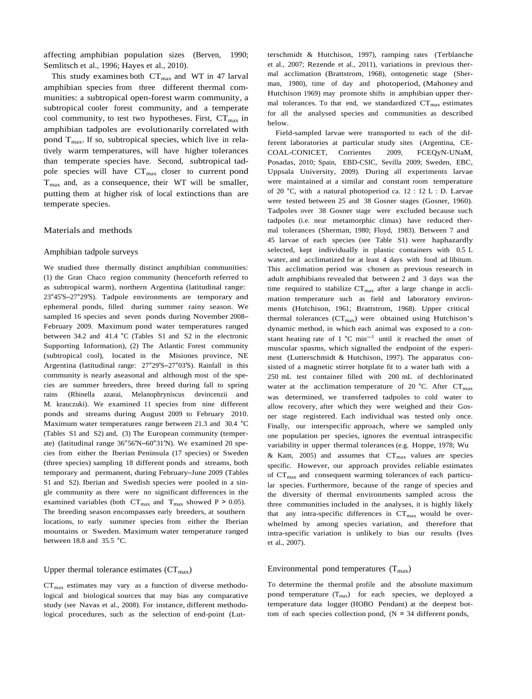affecting amphibian population sizes (Berven, 1990; Semlitsch et al., 1996; Hayes et al., 2010).

This study examines both  $CT_{max}$  and WT in 47 larval amphibian species from three different thermal communities: a subtropical open-forest warm community, a subtropical cooler forest community, and a temperate cool community, to test two hypotheses. First,  $CT_{\text{max}}$  in amphibian tadpoles are evolutionarily correlated with pond  $T_{\text{max}}$ . If so, subtropical species, which live in relatively warm temperatures, will have higher tolerances than temperate species have. Second, subtropical tadpole species will have  $CT_{\text{max}}$  closer to current pond  $T<sub>max</sub>$  and, as a consequence, their WT will be smaller, putting them at higher risk of local extinctions than are temperate species.

#### Materials and methods

#### Amphibian tadpole surveys

We studied three thermally distinct amphibian communities: (1) the Gran Chaco region community (henceforth referred to as subtropical warm), northern Argentina (latitudinal range: 23°45′S–27°29′S). Tadpole environments are temporary and ephemeral ponds, filled during summer rainy season. We sampled 16 species and seven ponds during November 2008– February 2009. Maximum pond water temperatures ranged between 34.2 and 41.4 °C (Tables S1 and S2 in the electronic Supporting Information), (2) The Atlantic Forest community (subtropical cool), located in the Misiones province, NE Argentina (latitudinal range: 27°29′S–27°03′S). Rainfall in this community is nearly aseasonal and although most of the species are summer breeders, three breed during fall to spring rains (Rhinella azarai, Melanophryniscus devincenzii and M. krauczuki). We examined 11 species from nine different ponds and streams during August 2009 to February 2010. Maximum water temperatures range between 21.3 and 30.4 °C (Tables S1 and S2) and, (3) The European community (temperate) (latitudinal range 36°56′N–60°31′N). We examined 20 species from either the Iberian Peninsula (17 species) or Sweden (three species) sampling 18 different ponds and streams, both temporary and permanent, during February–June 2009 (Tables S1 and S2). Iberian and Swedish species were pooled in a single community as there were no significant differences in the examined variables (both  $CT_{max}$  and  $T_{max}$  showed P > 0.05). The breeding season encompasses early breeders, at southern locations, to early summer species from either the Iberian mountains or Sweden. Maximum water temperature ranged between 18.8 and 35.5 °C.

## Upper thermal tolerance estimates  $(CT_{max})$

 $CT<sub>max</sub>$  estimates may vary as a function of diverse methodological and biological sources that may bias any comparative study (see Navas et al., 2008). For instance, different methodological procedures, such as the selection of end-point (Lut-

terschmidt & Hutchison, 1997), ramping rates (Terblanche et al., 2007; Rezende et al., 2011), variations in previous thermal acclimation (Brattstrom, 1968), ontogenetic stage (Sherman, 1980), time of day and photoperiod, (Mahoney and Hutchison 1969) may promote shifts in amphibian upper thermal tolerances. To that end, we standardized  $CT_{max}$  estimates for all the analysed species and communities as described below.

Field-sampled larvae were transported to each of the different laboratories at particular study sites (Argentina, CE-COAL-CONICET, Corrientes 2009, FCEQyN-UNaM, Posadas, 2010; Spain, EBD-CSIC, Sevilla 2009; Sweden, EBC, Uppsala University, 2009). During all experiments larvae were maintained at a similar and constant room temperature of 20 °C, with a natural photoperiod ca. 12 : 12 L : D. Larvae were tested between 25 and 38 Gosner stages (Gosner, 1960). Tadpoles over 38 Gosner stage were excluded because such tadpoles (i.e. near metamorphic climax) have reduced thermal tolerances (Sherman, 1980; Floyd, 1983). Between 7 and 45 larvae of each species (see Table S1) were haphazardly selected, kept individually in plastic containers with 0.5 L water, and acclimatized for at least 4 days with food ad libitum. This acclimation period was chosen as previous research in adult amphibians revealed that between 2 and 3 days was the time required to stabilize  $CT_{\text{max}}$  after a large change in acclimation temperature such as field and laboratory environments (Hutchison, 1961; Brattstrom, 1968). Upper critical thermal tolerances  $(CT<sub>max</sub>)$  were obtained using Hutchison's dynamic method, in which each animal was exposed to a constant heating rate of  $1 \degree C \text{ min}^{-1}$  until it reached the onset of muscular spasms, which signalled the endpoint of the experiment (Lutterschmidt & Hutchison, 1997). The apparatus consisted of a magnetic stirrer hotplate fit to a water bath with a 250 mL test container filled with 200 mL of dechlorinated water at the acclimation temperature of 20 °C. After  $CT_{\text{max}}$ was determined, we transferred tadpoles to cold water to allow recovery, after which they were weighed and their Gosner stage registered. Each individual was tested only once. Finally, our interspecific approach, where we sampled only one population per species, ignores the eventual intraspecific variability in upper thermal tolerances (e.g. Hoppe, 1978; Wu & Kam, 2005) and assumes that  $CT_{max}$  values are species specific. However, our approach provides reliable estimates of CT<sub>max</sub> and consequent warming tolerances of each particular species. Furthermore, because of the range of species and the diversity of thermal environments sampled across the three communities included in the analyses, it is highly likely that any intra-specific differences in  $CT_{\text{max}}$  would be overwhelmed by among species variation, and therefore that intra-specific variation is unlikely to bias our results (Ives et al., 2007).

# Environmental pond temperatures  $(T_{max})$

To determine the thermal profile and the absolute maximum pond temperature  $(T_{max})$  for each species, we deployed a temperature data logger (HOBO Pendant) at the deepest bottom of each species collection pond,  $(N = 34$  different ponds,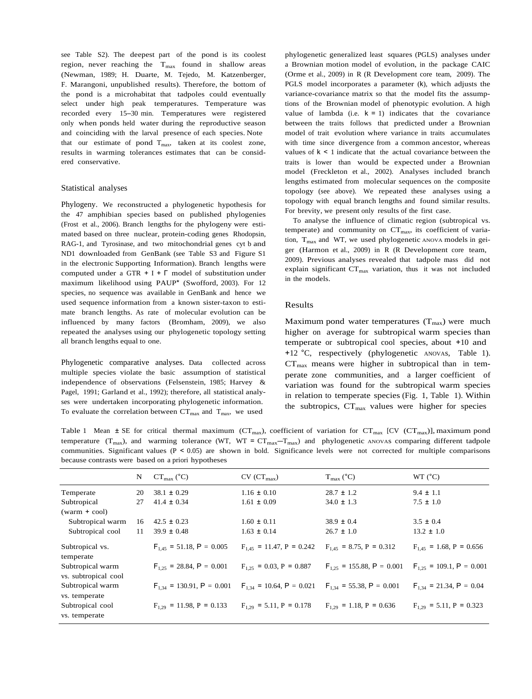see Table S2). The deepest part of the pond is its coolest region, never reaching the  $T_{\text{max}}$  found in shallow areas (Newman, 1989; H. Duarte, M. Tejedo, M. Katzenberger, F. Marangoni, unpublished results). Therefore, the bottom of the pond is a microhabitat that tadpoles could eventually select under high peak temperatures. Temperature was recorded every 15–30 min. Temperatures were registered only when ponds held water during the reproductive season and coinciding with the larval presence of each species. Note that our estimate of pond T<sub>max</sub>, taken at its coolest zone, results in warming tolerances estimates that can be considered conservative.

#### Statistical analyses

Phylogeny. We reconstructed a phylogenetic hypothesis for the 47 amphibian species based on published phylogenies (Frost et al., 2006). Branch lengths for the phylogeny were estimated based on three nuclear, protein-coding genes Rhodopsin, RAG-1, and Tyrosinase, and two mitochondrial genes cyt b and ND1 downloaded from GenBank (see Table S3 and Figure S1 in the electronic Supporting Information). Branch lengths were computed under a GTR + I + Γ model of substitution under maximum likelihood using PAUP\* (Swofford, 2003). For 12 species, no sequence was available in GenBank and hence we used sequence information from a known sister-taxon to estimate branch lengths. As rate of molecular evolution can be influenced by many factors (Bromham, 2009), we also repeated the analyses using our phylogenetic topology setting all branch lengths equal to one.

Phylogenetic comparative analyses. Data collected across multiple species violate the basic assumption of statistical independence of observations (Felsenstein, 1985; Harvey & Pagel, 1991; Garland et al., 1992); therefore, all statistical analyses were undertaken incorporating phylogenetic information. To evaluate the correlation between  $CT_{max}$  and  $T_{max}$ , we used

phylogenetic generalized least squares (PGLS) analyses under a Brownian motion model of evolution, in the package CAIC (Orme et al., 2009) in R (R Development core team, 2009). The PGLS model incorporates a parameter (k), which adjusts the variance-covariance matrix so that the model fits the assumptions of the Brownian model of phenotypic evolution. A high value of lambda (i.e.  $k = 1$ ) indicates that the covariance between the traits follows that predicted under a Brownian model of trait evolution where variance in traits accumulates with time since divergence from a common ancestor, whereas values of  $k < 1$  indicate that the actual covariance between the traits is lower than would be expected under a Brownian model (Freckleton et al., 2002). Analyses included branch lengths estimated from molecular sequences on the composite topology (see above). We repeated these analyses using a topology with equal branch lengths and found similar results. For brevity, we present only results of the first case.

To analyse the influence of climatic region (subtropical vs. temperate) and community on  $CT_{\text{max}}$ , its coefficient of variation,  $T_{\text{max}}$  and WT, we used phylogenetic ANOVA models in geiger (Harmon et al., 2009) in R (R Development core team, 2009). Previous analyses revealed that tadpole mass did not explain significant  $CT_{max}$  variation, thus it was not included in the models.

## Results

Maximum pond water temperatures  $(T_{max})$  were much higher on average for subtropical warm species than temperate or subtropical cool species, about +10 and +12 °C, respectively (phylogenetic ANOVAs, Table 1).  $CT_{\text{max}}$  means were higher in subtropical than in temperate zone communities, and a larger coefficient of variation was found for the subtropical warm species in relation to temperate species (Fig. 1, Table 1). Within the subtropics,  $CT_{max}$  values were higher for species

Table 1 Mean  $\pm$  SE for critical thermal maximum (CT<sub>max</sub>), coefficient of variation for CT<sub>max</sub> [CV (CT<sub>max</sub>)], maximum pond temperature ( $T_{\text{max}}$ ), and warming tolerance (WT, WT =  $CT_{\text{max}}-T_{\text{max}}$ ) and phylogenetic ANOVAs comparing different tadpole communities. Significant values ( $P < 0.05$ ) are shown in bold. Significance levels were not corrected for multiple comparisons because contrasts were based on a priori hypotheses

|                                          | N  | $CT_{\text{max}}$ (°C)            | $CV (CT_{max})$                  | $T_{\text{max}}$ (°C)           | WT (°C)                          |
|------------------------------------------|----|-----------------------------------|----------------------------------|---------------------------------|----------------------------------|
| Temperate                                | 20 | $38.1 \pm 0.29$                   | $1.16 \pm 0.10$                  | $28.7 \pm 1.2$                  | $9.4 \pm 1.1$                    |
| Subtropical                              | 27 | $41.4 \pm 0.34$                   | $1.61 \pm 0.09$                  | $34.0 \pm 1.3$                  | $7.5 \pm 1.0$                    |
| $(warm + cool)$                          |    |                                   |                                  |                                 |                                  |
| Subtropical warm                         | 16 | $42.5 \pm 0.23$                   | $1.60 \pm 0.11$                  | $38.9 \pm 0.4$                  | $3.5 \pm 0.4$                    |
| Subtropical cool                         | 11 | $39.9 \pm 0.48$                   | $1.63 \pm 0.14$                  | $26.7 \pm 1.0$                  | $13.2 \pm 1.0$                   |
| Subtropical vs.<br>temperate             |    | $F_{1.45} = 51.18$ , $P = 0.005$  | $F_{1.45}$ = 11.47, P = 0.242    | $F_{1.45} = 8.75$ , $P = 0.312$ | $F_{1.45} = 1.68$ , P = 0.656    |
| Subtropical warm<br>vs. subtropical cool |    | $F_{1.25}$ = 28.84, P = 0.001     | $F_{1,25} = 0.03$ , $P = 0.887$  | $F_{1.25}$ = 155.88, P = 0.001  | $F_{1,25} = 109.1$ , $P = 0.001$ |
| Subtropical warm<br>vs. temperate        |    | $F_{1,34} = 130.91$ , $P = 0.001$ | $F_{1,34} = 10.64$ , $P = 0.021$ | $F_{1,34} = 55.38, P = 0.001$   | $F_{1,34} = 21.34, P = 0.04$     |
| Subtropical cool<br>vs. temperate        |    | $F_{1,29} = 11.98$ , $P = 0.133$  | $F_{1,29} = 5.11$ , $P = 0.178$  | $F_{1,29} = 1.18$ , $P = 0.636$ | $F_{1,29} = 5.11$ , $P = 0.323$  |
|                                          |    |                                   |                                  |                                 |                                  |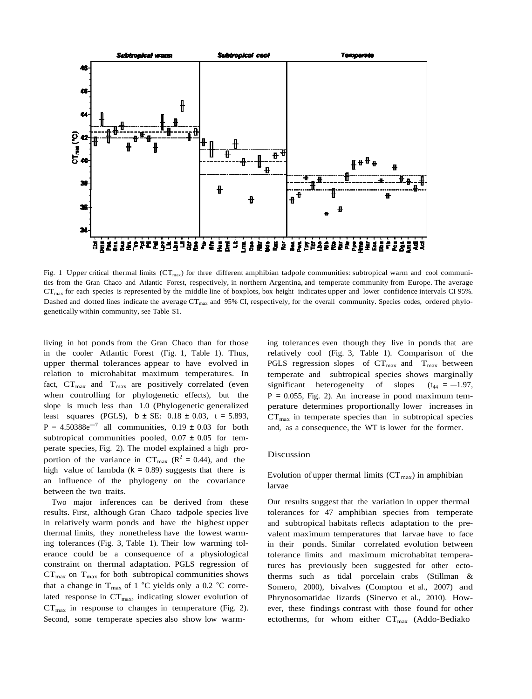

Fig. 1 Upper critical thermal limits  $(CT_{max})$  for three different amphibian tadpole communities: subtropical warm and cool communities from the Gran Chaco and Atlantic Forest, respectively, in northern Argentina, and temperate community from Europe. The average CTmax for each species is represented by the middle line of boxplots, box height indicates upper and lower confidence intervals CI 95%. Dashed and dotted lines indicate the average CT<sub>max</sub> and 95% CI, respectively, for the overall community. Species codes, ordered phylogenetically within community, see Table S1.

living in hot ponds from the Gran Chaco than for those in the cooler Atlantic Forest (Fig. 1, Table 1). Thus, upper thermal tolerances appear to have evolved in relation to microhabitat maximum temperatures. In fact,  $CT_{\text{max}}$  and  $T_{\text{max}}$  are positively correlated (even when controlling for phylogenetic effects), but the slope is much less than 1.0 (Phylogenetic generalized least squares (PGLS),  $b \pm SE$ : 0.18  $\pm$  0.03, t = 5.893,  $P = 4.50388e^{-7}$  all communities,  $0.19 \pm 0.03$  for both subtropical communities pooled,  $0.07 \pm 0.05$  for temperate species, Fig. 2). The model explained a high proportion of the variance in  $CT_{\text{max}}$  ( $R^2 = 0.44$ ), and the high value of lambda ( $k = 0.89$ ) suggests that there is an influence of the phylogeny on the covariance between the two traits.

Two major inferences can be derived from these results. First, although Gran Chaco tadpole species live in relatively warm ponds and have the highest upper thermal limits, they nonetheless have the lowest warming tolerances (Fig. 3, Table 1). Their low warming tolerance could be a consequence of a physiological constraint on thermal adaptation. PGLS regression of  $CT_{\text{max}}$  on  $T_{\text{max}}$  for both subtropical communities shows that a change in  $T_{\text{max}}$  of 1 °C yields only a 0.2 °C correlated response in  $CT_{\text{max}}$ , indicating slower evolution of  $CT_{\text{max}}$  in response to changes in temperature (Fig. 2). Second, some temperate species also show low warming tolerances even though they live in ponds that are relatively cool (Fig. 3, Table 1). Comparison of the PGLS regression slopes of  $CT_{max}$  and  $T_{max}$  between temperate and subtropical species shows marginally significant heterogeneity of slopes  $(t_{44} = -1.97,$  $P = 0.055$ , Fig. 2). An increase in pond maximum temperature determines proportionally lower increases in  $CT<sub>max</sub>$  in temperate species than in subtropical species and, as a consequence, the WT is lower for the former.

### Discussion

## Evolution of upper thermal limits  $(CT_{max})$  in amphibian larvae

Our results suggest that the variation in upper thermal tolerances for 47 amphibian species from temperate and subtropical habitats reflects adaptation to the prevalent maximum temperatures that larvae have to face in their ponds. Similar correlated evolution between tolerance limits and maximum microhabitat temperatures has previously been suggested for other ectotherms such as tidal porcelain crabs (Stillman & Somero, 2000), bivalves (Compton et al., 2007) and Phrynosomatidae lizards (Sinervo et al., 2010). However, these findings contrast with those found for other ectotherms, for whom either  $CT_{max}$  (Addo-Bediako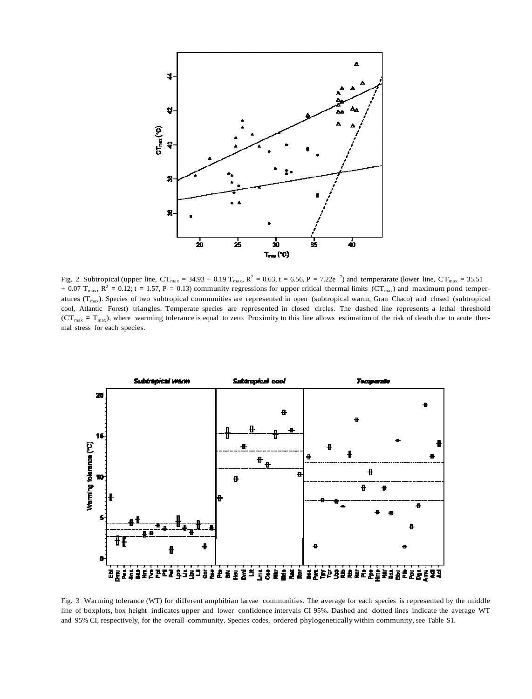

Fig. 2 Subtropical (upper line,  $CT_{\text{max}} = 34.93 + 0.19$   $T_{\text{max}}$ ,  $R^2 = 0.63$ ,  $t = 6.56$ ,  $P = 7.22e^{-7}$ ) and temperarate (lower line,  $CT_{\text{max}} = 35.51$  $+ 0.07$  T<sub>max</sub>, R<sup>2</sup> = 0.12; t = 1.57, P = 0.13) community regressions for upper critical thermal limits (CT<sub>max</sub>) and maximum pond temperatures  $(T_{\text{max}})$ . Species of two subtropical communities are represented in open (subtropical warm, Gran Chaco) and closed (subtropical cool, Atlantic Forest) triangles. Temperate species are represented in closed circles. The dashed line represents a lethal threshold ( $CT_{\text{max}} = T_{\text{max}}$ ), where warming tolerance is equal to zero. Proximity to this line allows estimation of the risk of death due to acute thermal stress for each species.



Fig. 3 Warming tolerance (WT) for different amphibian larvae communities. The average for each species is represented by the middle line of boxplots, box height indicates upper and lower confidence intervals CI 95%. Dashed and dotted lines indicate the average WT and 95% CI, respectively, for the overall community. Species codes, ordered phylogenetically within community, see Table S1.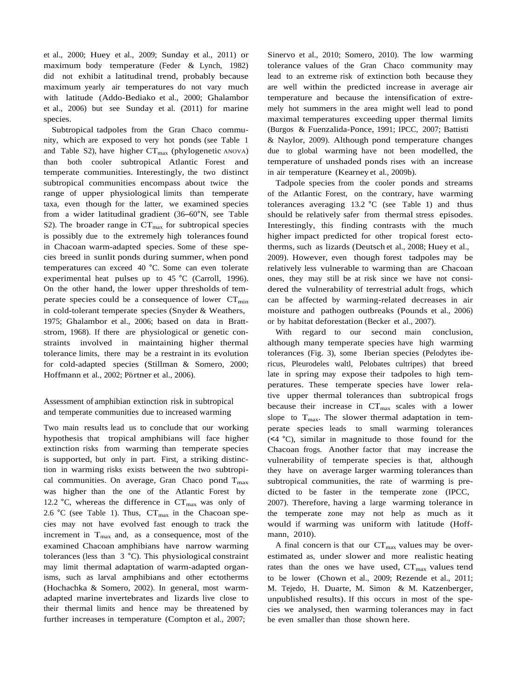et al., 2000; Huey et al., 2009; Sunday et al., 2011) or maximum body temperature (Feder & Lynch, 1982) did not exhibit a latitudinal trend, probably because maximum yearly air temperatures do not vary much with latitude (Addo-Bediako et al., 2000; Ghalambor et al., 2006) but see Sunday et al. (2011) for marine species.

Subtropical tadpoles from the Gran Chaco community, which are exposed to very hot ponds (see Table 1 and Table S2), have higher  $CT_{max}$  (phylogenetic ANOVA) than both cooler subtropical Atlantic Forest and temperate communities. Interestingly, the two distinct subtropical communities encompass about twice the range of upper physiological limits than temperate taxa, even though for the latter, we examined species from a wider latitudinal gradient (36–60°N, see Table S2). The broader range in  $CT_{\text{max}}$  for subtropical species is possibly due to the extremely high tolerances found in Chacoan warm-adapted species. Some of these species breed in sunlit ponds during summer, when pond temperatures can exceed 40 °C. Some can even tolerate experimental heat pulses up to 45 °C (Carroll, 1996). On the other hand, the lower upper thresholds of temperate species could be a consequence of lower  $CT_{min}$ in cold-tolerant temperate species (Snyder & Weathers, 1975; Ghalambor et al., 2006; based on data in Brattstrom, 1968). If there are physiological or genetic constraints involved in maintaining higher thermal tolerance limits, there may be a restraint in its evolution for cold-adapted species (Stillman & Somero, 2000; Hoffmann et al., 2002; Pörtner et al., 2006).

## Assessment of amphibian extinction risk in subtropical and temperate communities due to increased warming

Two main results lead us to conclude that our working hypothesis that tropical amphibians will face higher extinction risks from warming than temperate species is supported, but only in part. First, a striking distinction in warming risks exists between the two subtropical communities. On average, Gran Chaco pond  $T_{\text{max}}$ was higher than the one of the Atlantic Forest by 12.2 °C, whereas the difference in  $CT_{max}$  was only of 2.6 °C (see Table 1). Thus,  $CT_{max}$  in the Chacoan species may not have evolved fast enough to track the increment in  $T_{\text{max}}$  and, as a consequence, most of the examined Chacoan amphibians have narrow warming tolerances (less than 3 °C). This physiological constraint may limit thermal adaptation of warm-adapted organisms, such as larval amphibians and other ectotherms (Hochachka & Somero, 2002). In general, most warmadapted marine invertebrates and lizards live close to their thermal limits and hence may be threatened by further increases in temperature (Compton et al., 2007;

Sinervo et al., 2010; Somero, 2010). The low warming tolerance values of the Gran Chaco community may lead to an extreme risk of extinction both because they are well within the predicted increase in average air temperature and because the intensification of extremely hot summers in the area might well lead to pond maximal temperatures exceeding upper thermal limits (Burgos & Fuenzalida-Ponce, 1991; IPCC, 2007; Battisti & Naylor, 2009). Although pond temperature changes due to global warming have not been modelled, the temperature of unshaded ponds rises with an increase in air temperature (Kearney et al., 2009b).

Tadpole species from the cooler ponds and streams of the Atlantic Forest, on the contrary, have warming tolerances averaging 13.2 °C (see Table 1) and thus should be relatively safer from thermal stress episodes. Interestingly, this finding contrasts with the much higher impact predicted for other tropical forest ectotherms, such as lizards (Deutsch et al., 2008; Huey et al., 2009). However, even though forest tadpoles may be relatively less vulnerable to warming than are Chacoan ones, they may still be at risk since we have not considered the vulnerability of terrestrial adult frogs, which can be affected by warming-related decreases in air moisture and pathogen outbreaks (Pounds et al., 2006) or by habitat deforestation (Becker et al., 2007).

With regard to our second main conclusion, although many temperate species have high warming tolerances (Fig. 3), some Iberian species (Pelodytes ibericus, Pleurodeles waltl, Pelobates cultripes) that breed late in spring may expose their tadpoles to high temperatures. These temperate species have lower relative upper thermal tolerances than subtropical frogs because their increase in  $CT_{\text{max}}$  scales with a lower slope to  $T_{\text{max}}$ . The slower thermal adaptation in temperate species leads to small warming tolerances (<4 °C), similar in magnitude to those found for the Chacoan frogs. Another factor that may increase the vulnerability of temperate species is that, although they have on average larger warming tolerances than subtropical communities, the rate of warming is predicted to be faster in the temperate zone (IPCC, 2007). Therefore, having a large warming tolerance in the temperate zone may not help as much as it would if warming was uniform with latitude (Hoffmann, 2010).

A final concern is that our  $CT_{\text{max}}$  values may be overestimated as, under slower and more realistic heating rates than the ones we have used,  $CT_{max}$  values tend to be lower (Chown et al., 2009; Rezende et al., 2011; M. Tejedo, H. Duarte, M. Simon & M. Katzenberger, unpublished results). If this occurs in most of the species we analysed, then warming tolerances may in fact be even smaller than those shown here.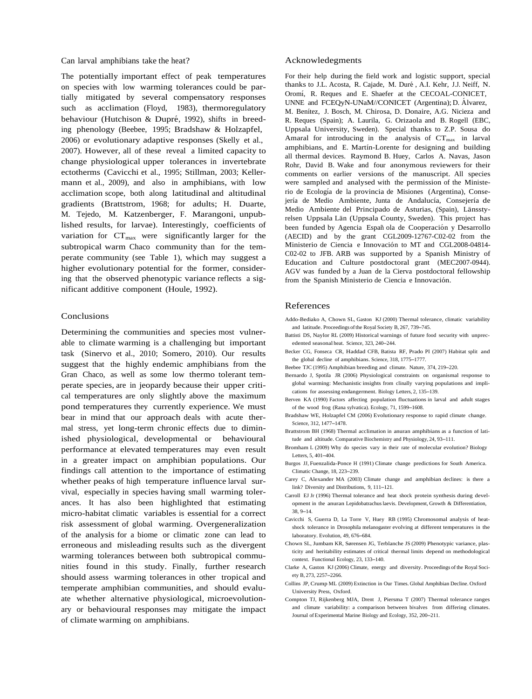#### Can larval amphibians take the heat?

The potentially important effect of peak temperatures on species with low warming tolerances could be partially mitigated by several compensatory responses such as acclimation (Floyd, 1983), thermoregulatory behaviour (Hutchison & Dupré, 1992), shifts in breeding phenology (Beebee, 1995; Bradshaw & Holzapfel, 2006) or evolutionary adaptive responses (Skelly et al., 2007). However, all of these reveal a limited capacity to change physiological upper tolerances in invertebrate ectotherms (Cavicchi et al., 1995; Stillman, 2003; Kellermann et al., 2009), and also in amphibians, with low acclimation scope, both along latitudinal and altitudinal gradients (Brattstrom, 1968; for adults; H. Duarte, M. Tejedo, M. Katzenberger, F. Marangoni, unpublished results, for larvae). Interestingly, coefficients of variation for  $CT_{\text{max}}$  were significantly larger for the subtropical warm Chaco community than for the temperate community (see Table 1), which may suggest a higher evolutionary potential for the former, considering that the observed phenotypic variance reflects a significant additive component (Houle, 1992).

#### Conclusions

Determining the communities and species most vulnerable to climate warming is a challenging but important task (Sinervo et al., 2010; Somero, 2010). Our results suggest that the highly endemic amphibians from the Gran Chaco, as well as some low thermo tolerant temperate species, are in jeopardy because their upper critical temperatures are only slightly above the maximum pond temperatures they currently experience. We must bear in mind that our approach deals with acute thermal stress, yet long-term chronic effects due to diminished physiological, developmental or behavioural performance at elevated temperatures may even result in a greater impact on amphibian populations. Our findings call attention to the importance of estimating whether peaks of high temperature influence larval survival, especially in species having small warming tolerances. It has also been highlighted that estimating micro-habitat climatic variables is essential for a correct risk assessment of global warming. Overgeneralization of the analysis for a biome or climatic zone can lead to erroneous and misleading results such as the divergent warming tolerances between both subtropical communities found in this study. Finally, further research should assess warming tolerances in other tropical and temperate amphibian communities, and should evaluate whether alternative physiological, microevolutionary or behavioural responses may mitigate the impact of climate warming on amphibians.

#### Acknowledegments

For their help during the field work and logistic support, special thanks to J.L. Acosta, R. Cajade, M. Duré, A.I. Kehr, J.J. Neiff, N. Oromí, R. Reques and E. Shaefer at the CECOAL-CONICET, UNNE and FCEQyN-UNaM//CONICET (Argentina); D. Álvarez, M. Benítez, J. Bosch, M. Chirosa, D. Donaire, A.G. Nicieza and R. Reques (Spain); A. Laurila, G. Orizaola and B. Rogell (EBC, Uppsala University, Sweden). Special thanks to Z.P. Sousa do Amaral for introducing in the analysis of  $CT<sub>max</sub>$  in larval amphibians, and E. Martín-Lorente for designing and building all thermal devices. Raymond B. Huey, Carlos A. Navas, Jason Rohr, David B. Wake and four anonymous reviewers for their comments on earlier versions of the manuscript. All species were sampled and analysed with the permission of the Ministerio de Ecología de la provincia de Misiones (Argentina), Consejería de Medio Ambiente, Junta de Andalucía, Consejería de Medio Ambiente del Principado de Asturias, (Spain), Länsstyrelsen Uppsala Län (Uppsala County, Sweden). This project has been funded by Agencia Españ ola de Cooperación y Desarrollo (AECID) and by the grant CGL2009-12767-C02-02 from the Ministerio de Ciencia e Innovación to MT and CGL2008-04814-C02-02 to JFB. ARB was supported by a Spanish Ministry of Education and Culture postdoctoral grant (MEC2007-0944). AGV was funded by a Juan de la Cierva postdoctoral fellowship from the Spanish Ministerio de Ciencia e Innovación.

## References

- Addo-Bediako A, Chown SL, Gaston KJ (2000) Thermal tolerance, climatic variability and latitude. Proceedings of the Royal Society B, 267, 739–745.
- Battisti DS, Naylor RL (2009) Historical warnings of future food security with unprecedented seasonal heat. Science, 323, 240–244.
- Becker CG, Fonseca CR, Haddad CFB, Batista RF, Prado PI (2007) Habitat split and the global decline of amphibians. Science, 318, 1775–1777.
- Beebee TJC (1995) Amphibian breeding and climate. Nature, 374, 219–220.
- Bernardo J, Spotila JR (2006) Physiological constraints on organismal response to global warming: Mechanistic insights from clinally varying populations and implications for assessing endangerment. Biology Letters, 2, 135–139.
- Berven KA (1990) Factors affecting population fluctuations in larval and adult stages of the wood frog (Rana sylvatica). Ecology, 71, 1599–1608.
- Bradshaw WE, Holzapfel CM (2006) Evolutionary response to rapid climate change. Science, 312, 1477–1478.
- Brattstrom BH (1968) Thermal acclimation in anuran amphibians as a function of latitude and altitude. Comparative Biochemistry and Physiology, 24, 93–111.
- Bromham L (2009) Why do species vary in their rate of molecular evolution? Biology Letters, 5, 401–404.
- Burgos JJ, Fuenzalida-Ponce H (1991) Climate change predictions for South America. Climatic Change, 18, 223–239.
- Carey C, Alexander MA (2003) Climate change and amphibian declines: is there a link? Diversity and Distributions, 9, 111–121.
- Carroll EJ Jr (1996) Thermal tolerance and heat shock protein synthesis during development in the anuran Lepidobatrachus laevis. Development, Growth & Differentiation, 38, 9–14.
- Cavicchi S, Guerra D, La Torre V, Huey RB (1995) Chromosomal analysis of heatshock tolerance in Drosophila melanogaster evolving at different temperatures in the laboratory. Evolution, 49, 676–684.
- Chown SL, Jumbam KR, Sørensen JG, Terblanche JS (2009) Phenotypic variance, plasticity and heritability estimates of critical thermal limits depend on methodological context. Functional Ecology, 23, 133–140.
- Clarke A, Gaston KJ (2006) Climate, energy and diversity. Proceedings of the Royal Society B, 273, 2257–2266.
- Collins JP, Crump ML (2009) Extinction in Our Times. Global Amphibian Decline. Oxford University Press, Oxford.
- Compton TJ, Rijkenberg MJA, Drent J, Piersma T (2007) Thermal tolerance ranges and climate variability: a comparison between bivalves from differing climates. Journal of Experimental Marine Biology and Ecology, 352, 200–211.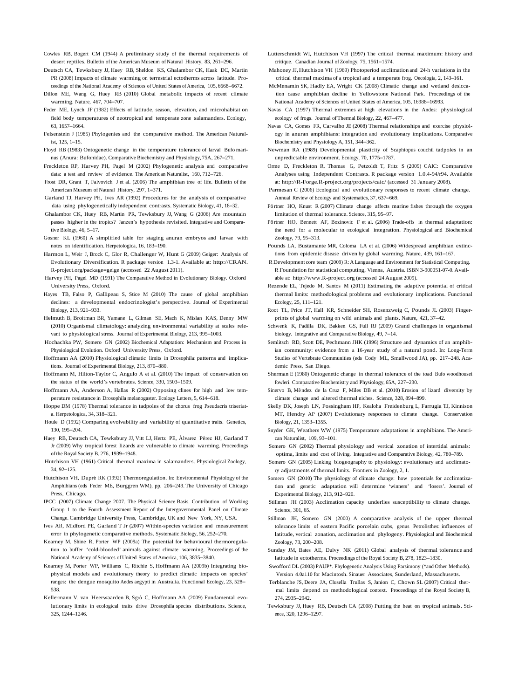- Cowles RB, Bogert CM (1944) A preliminary study of the thermal requirements of desert reptiles. Bulletin of the American Museum of Natural History, 83, 261–296.
- Deutsch CA, Tewksbury JJ, Huey RB, Sheldon KS, Ghalambor CK, Haak DC, Martin PR (2008) Impacts of climate warming on terrestrial ectotherms across latitude. Proceedings of the National Academy of Sciences of United States of America, 105, 6668–6672.
- Dillon ME, Wang G, Huey RB (2010) Global metabolic impacts of recent climate warming. Nature, 467, 704–707.
- Feder ME, Lynch JF (1982) Effects of latitude, season, elevation, and microhabitat on field body temperatures of neotropical and temperate zone salamanders. Ecology, 63, 1657–1664.
- Felsenstein J (1985) Phylogenies and the comparative method. The American Naturalist, 125, 1–15.
- Floyd RB (1983) Ontogenetic change in the temperature tolerance of larval Bufo marinus (Anura: Bufonidae). Comparative Biochemistry and Physiology, 75A, 267–271.
- Freckleton RP, Harvey PH, Pagel M (2002) Phylogenetic analysis and comparative data: a test and review of evidence. The American Naturalist, 160, 712–726.
- Frost DR, Grant T, Faivovich J et al. (2006) The amphibian tree of life. Bulletin of the American Museum of Natural History, 297, 1–371.
- Garland TJ, Harvey PH, Ives AR (1992) Procedures for the analysis of comparative data using phylogenetically independent contrasts. Systematic Biology, 41, 18–32.
- Ghalambor CK, Huey RB, Martin PR, Tewksbury JJ, Wang G (2006) Are mountain passes higher in the tropics? Janzen's hypothesis revisited. Integrative and Comparative Biology, 46, 5–17.
- Gosner KL (1960) A simplified table for staging anuran embryos and larvae with notes on identification. Herpetologica, 16, 183–190.
- Harmon L, Weir J, Brock C, Glor R, Challenger W, Hunt G (2009) Geiger: Analysis of Evolutionary Diversification. R package version 1.3-1. Available at: [http://CRAN.](http://cran/)  R-project.org/package=geige (accessed 22 August 2011).
- Harvey PH, Pagel MD (1991) The Comparative Method in Evolutionary Biology. Oxford University Press, Oxford.
- Hayes TB, Falso P, Gallipeau S, Stice M (2010) The cause of global amphibian declines: a developmental endocrinologist's perspective. Journal of Experimental Biology, 213, 921–933.
- Helmuth B, Broitman BR, Yamane L, Gilman SE, Mach K, Mislan KAS, Denny MW (2010) Organismal climatology: analyzing environmental variability at scales relevant to physiological stress. Journal of Experimental Biology, 213, 995–1003.
- Hochachka PW, Somero GN (2002) Biochemical Adaptation: Mechanism and Process in Physiological Evolution. Oxford University Press, Oxford.
- Hoffmann AA (2010) Physiological climatic limits in Drosophila: patterns and implications. Journal of Experimental Biology, 213, 870–880.
- Hoffmann M, Hilton-Taylor C, Angulo A et al. (2010) The impact of conservation on the status of the world's vertebrates. Science, 330, 1503–1509.
- Hoffmann AA, Anderson A, Hallas R (2002) Opposing clines for high and low temperature resistance in Drosophila melanogaster. Ecology Letters, 5, 614–618.
- Hoppe DM (1978) Thermal tolerance in tadpoles of the chorus frog Pseudacris triseriata. Herpetologica, 34, 318–321.
- Houle D (1992) Comparing evolvability and variability of quantitative traits. Genetics, 130, 195–204.
- Huey RB, Deutsch CA, Tewksbury JJ, Vitt LJ, Hertz PE, Álvarez Pérez HJ, Garland T Jr (2009) Why tropical forest lizards are vulnerable to climate warming. Proceedings of the Royal Society B, 276, 1939–1948.
- Hutchison VH (1961) Critical thermal maxima in salamanders. Physiological Zoology, 34, 92–125.
- Hutchison VH, Dupré RK (1992) Thermoregulation. In: Environmental Physiology of the Amphibians (eds Feder ME, Burggren WM), pp. 206–249. The University of Chicago Press, Chicago.
- IPCC (2007) Climate Change 2007. The Physical Science Basis. Contribution of Working Group 1 to the Fourth Assessment Report of the Intergovernmental Panel on Climate Change. Cambridge University Press, Cambridge, UK and New York, NY, USA.
- Ives AR, Midford PE, Garland T Jr (2007) Within-species variation and measurement error in phylogenetic comparative methods. Systematic Biology, 56, 252–270.
- Kearney M, Shine R, Porter WP (2009a) The potential for behavioural thermoregulation to buffer 'cold-blooded' animals against climate warming. Proceedings of the National Academy of Sciences of United States of America, 106, 3835–3840.
- Kearney M, Porter WP, Williams C, Ritchie S, Hoffmann AA (2009b) Integrating biophysical models and evolutionary theory to predict climatic impacts on species' ranges: the dengue mosquito Aedes aegypti in Australia. Functional Ecology, 23, 528– 538.
- Kellermann V, van Heerwaarden B, Sgrò C, Hoffmann AA (2009) Fundamental evolutionary limits in ecological traits drive Drosophila species distributions. Science, 325, 1244–1246.
- Lutterschmidt WI, Hutchison VH (1997) The critical thermal maximum: history and critique. Canadian Journal of Zoology, 75, 1561–1574.
- Mahoney JJ, Hutchison VH (1969) Photoperiod acclimation and 24-h variations in the critical thermal maxima of a tropical and a temperate frog. Oecologia, 2, 143–161.
- McMenamin SK, Hadly EA, Wright CK (2008) Climatic change and wetland desiccation cause amphibian decline in Yellowstone National Park. Proceedings of the National Academy of Sciences of United States of America, 105, 16988–16993.
- Navas CA (1997) Thermal extremes at high elevations in the Andes: physiological ecology of frogs. Journal of Thermal Biology, 22, 467–477.
- Navas CA, Gomes FR, Carvalho JE (2008) Thermal relationships and exercise physiology in anuran amphibians: integration and evolutionary implications. Comparative Biochemistry and Physiology A, 151, 344–362.
- Newman RA (1989) Developmental plasticity of Scaphiopus couchii tadpoles in an unpredictable environment. Ecology, 70, 1775–1787.
- Orme D, Freckleton R, Thomas G, Petzoldt T, Fritz S (2009) CAIC: Comparative Analyses using Independent Contrasts. R package version 1.0.4-94/r94. Available at: [http://R-Forge.R-project.org/projects/caic/](http://r-forge.r-project.org/projects/caic/) (accessed 31 January 2008).
- Parmesan C (2006) Ecological and evolutionary responses to recent climate change. Annual Review of Ecology and Systematics, 37, 637–669.
- Pörtner HO, Knust R (2007) Climate change affects marine fishes through the oxygen limitation of thermal tolerance. Science, 315, 95–97.
- Pörtner HO, Bennett AF, Bozinovic F et al. (2006) Trade-offs in thermal adaptation: the need for a molecular to ecological integration. Physiological and Biochemical Zoology, 79, 95–313.
- Pounds LA, Bustamante MR, Coloma LA et al. (2006) Widespread amphibian extinctions from epidemic disease driven by global warming. Nature, 439, 161–167.
- R Development core team (2009) R: A Language and Environment for Statistical Computing. R Foundation for statistical computing, Vienna, Austria. ISBN 3-900051-07-0. Available at: [http://www.R-project.org](http://www.r-project.org/) (accessed 24 August 2009).
- Rezende EL, Tejedo M, Santos M (2011) Estimating the adaptive potential of critical thermal limits: methodological problems and evolutionary implications. Functional Ecology, 25, 111–121.
- Root TL, Price JT, Hall KR, Schneider SH, Rosenzweig C, Pounds JL (2003) Fingerprints of global warming on wild animals and plants. Nature, 421, 37–42.
- Schwenk K, Padilla DK, Bakken GS, Full RJ (2009) Grand challenges in organismal biology. Integrative and Comparative Biology, 49, 7–14.
- Semlitsch RD, Scott DE, Pechmann JHK (1996) Structure and dynamics of an amphibian community: evidence from a 16-year study of a natural pond. In: Long-Term Studies of Vertebrate Communities (eds Cody ML, Smallwood JA), pp. 217–248. Academic Press, San Diego.
- Sherman E (1980) Ontogenetic change in thermal tolerance of the toad Bufo woodhousei fowleri. Comparative Biochemistry and Physiology, 65A, 227–230.
- Sinervo B, Méndez de la Cruz F, Miles DB et al. (2010) Erosion of lizard diversity by climate change and altered thermal niches. Science, 328, 894–899.
- Skelly DK, Joseph LN, Possingham HP, Kealoha Freidenburg L, Farrugia TJ, Kinnison MT, Hendry AP (2007) Evolutionary responses to climate change. Conservation Biology, 21, 1353–1355.
- Snyder GK, Weathers WW (1975) Temperature adaptations in amphibians. The American Naturalist, 109, 93–101.
- Somero GN (2002) Thermal physiology and vertical zonation of intertidal animals: optima, limits and cost of living. Integrative and Comparative Biology, 42, 780–789.
- Somero GN (2005) Linking biogeography to physiology: evolutionary and acclimatory adjustments of thermal limits. Frontiers in Zoology, 2, 1.
- Somero GN (2010) The physiology of climate change: how potentials for acclimatization and genetic adaptation will determine 'winners' and 'losers'. Journal of Experimental Biology, 213, 912–920.
- Stillman JH (2003) Acclimation capacity underlies susceptibility to climate change. Science, 301, 65.
- Stillman JH, Somero GN (2000) A comparative analysis of the upper thermal tolerance limits of eastern Pacific porcelain crabs, genus Petrolisthes: influences of latitude, vertical zonation, acclimation and phylogeny. Physiological and Biochemical Zoology, 73, 200–208.
- Sunday JM, Bates AE, Dulvy NK (2011) Global analysis of thermal tolerance and latitude in ectotherms. Proceedings of the Royal Society B, 278, 1823–1830.
- Swofford DL (2003) PAUP\*. Phylogenetic Analysis Using Parsimony (\*and Other Methods). Version 4.0a110 for Macintosh. Sinauer Associates, Sunderland, Massachusetts.
- Terblanche JS, Deere JA, Clusella Trullas S, Janion C, Chown SL (2007) Critical thermal limits depend on methodological context. Proceedings of the Royal Society B, 274, 2935–2942.
- Tewksbury JJ, Huey RB, Deutsch CA (2008) Putting the heat on tropical animals. Science, 320, 1296–1297.